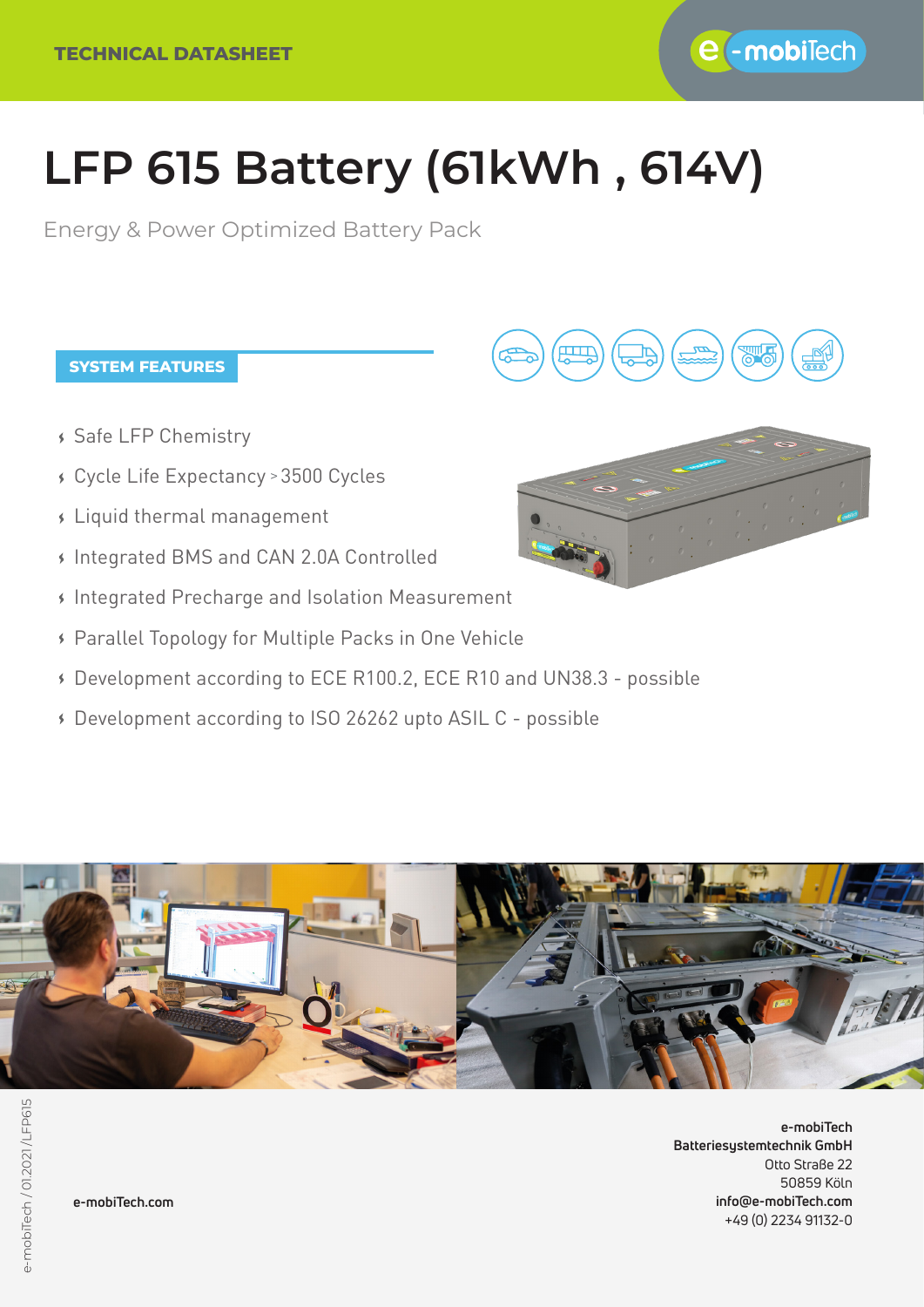

# **LFP 615 Battery (61kWh , 614V)**

Energy & Power Optimized Battery Pack

### **SYSTEM FEATURES**

- Safe LFP Chemistry
- Cycle Life Expectancy 3500 Cycles >
- Liquid thermal management
- Integrated BMS and CAN 2.0A Controlled
- Integrated Precharge and Isolation Measurement
- Parallel Topology for Multiple Packs in One Vehicle
- Development according to ECE R100.2, ECE R10 and UN38.3 possible
- Development according to ISO 26262 upto ASIL C possible



**e-mobiTech Batteriesystemtechnik GmbH** Otto Straße 22 50859 Köln **info@e-mobiTech.com** +49 (0) 2234 91132-0

**e-mobiTech.com**